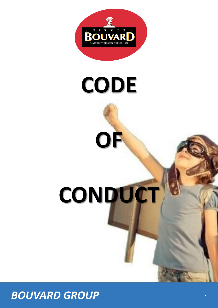

# **CODE**

**OF**

# **CONDUCT**

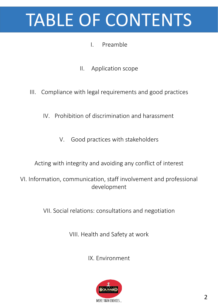## TABLE OF CONTENTS

#### I. Preamble

- II. Application scope
- III. Compliance with legal requirements and good practices
	- IV. Prohibition of discrimination and harassment
		- V. Good practices with stakeholders

Acting with integrity and avoiding any conflict of interest

VI. Information, communication, staff involvement and professional development

VII. Social relations: consultations and negotiation

VIII. Health and Safety at work

IX. Environment

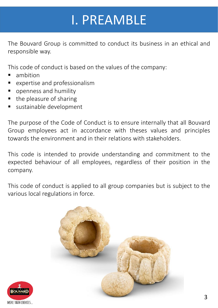## I. PREAMBLE

The Bouvard Group is committed to conduct its business in an ethical and responsible way.

This code of conduct is based on the values of the company:

- ambition
- expertise and professionalism
- openness and humility
- the pleasure of sharing
- sustainable development

The purpose of the Code of Conduct is to ensure internally that all Bouvard Group employees act in accordance with theses values and principles towards the environment and in their relations with stakeholders.

This code is intended to provide understanding and commitment to the expected behaviour of all employees, regardless of their position in the company.

This code of conduct is applied to all group companies but is subject to the various local regulations in force.



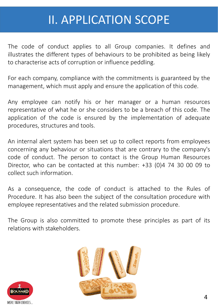## II. APPLICATION SCOPE

The code of conduct applies to all Group companies. It defines and illustrates the different types of behaviours to be prohibited as being likely to characterise acts of corruption or influence peddling.

For each company, compliance with the commitments is guaranteed by the management, which must apply and ensure the application of this code.

Any employee can notify his or her manager or a human resources representative of what he or she considers to be a breach of this code. The application of the code is ensured by the implementation of adequate procedures, structures and tools.

An internal alert system has been set up to collect reports from employees concerning any behaviour or situations that are contrary to the company's code of conduct. The person to contact is the Group Human Resources Director, who can be contacted at this number: +33 (0)4 74 30 00 09 to collect such information.

As a consequence, the code of conduct is attached to the Rules of Procedure. It has also been the subject of the consultation procedure with employee representatives and the related submission procedure.

The Group is also committed to promote these principles as part of its relations with stakeholders.



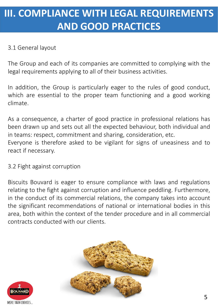## **III. COMPLIANCE WITH LEGAL REQUIREMENTS AND GOOD PRACTICES**

#### 3.1 General layout

The Group and each of its companies are committed to complying with the legal requirements applying to all of their business activities.

In addition, the Group is particularly eager to the rules of good conduct, which are essential to the proper team functioning and a good working climate.

As a consequence, a charter of good practice in professional relations has been drawn up and sets out all the expected behaviour, both individual and in teams: respect, commitment and sharing, consideration, etc. Everyone is therefore asked to be vigilant for signs of uneasiness and to react if necessary.

3.2 Fight against corruption

Biscuits Bouvard is eager to ensure compliance with laws and regulations relating to the fight against corruption and influence peddling. Furthermore, in the conduct of its commercial relations, the company takes into account the significant recommendations of national or international bodies in this area, both within the context of the tender procedure and in all commercial contracts conducted with our clients.



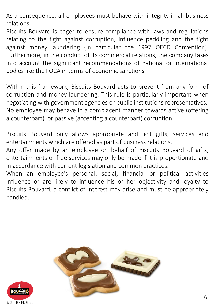As a consequence, all employees must behave with integrity in all business relations.

Biscuits Bouvard is eager to ensure compliance with laws and regulations relating to the fight against corruption, influence peddling and the fight against money laundering (in particular the 1997 OECD Convention). Furthermore, in the conduct of its commercial relations, the company takes into account the significant recommendations of national or international bodies like the FOCA in terms of economic sanctions.

Within this framework, Biscuits Bouvard acts to prevent from any form of corruption and money laundering. This rule is particularly important when negotiating with government agencies or public institutions representatives. No employee may behave in a complacent manner towards active (offering a counterpart) or passive (accepting a counterpart) corruption.

Biscuits Bouvard only allows appropriate and licit gifts, services and entertainments which are offered as part of business relations.

Any offer made by an employee on behalf of Biscuits Bouvard of gifts, entertainments or free services may only be made if it is proportionate and in accordance with current legislation and common practices.

When an employee's personal, social, financial or political activities influence or are likely to influence his or her objectivity and loyalty to Biscuits Bouvard, a conflict of interest may arise and must be appropriately handled.



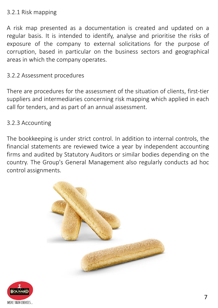#### 3.2.1 Risk mapping

A risk map presented as a documentation is created and updated on a regular basis. It is intended to identify, analyse and prioritise the risks of exposure of the company to external solicitations for the purpose of corruption, based in particular on the business sectors and geographical areas in which the company operates.

#### 3.2.2 Assessment procedures

There are procedures for the assessment of the situation of clients, first-tier suppliers and intermediaries concerning risk mapping which applied in each call for tenders, and as part of an annual assessment.

#### 3.2.3 Accounting

The bookkeeping is under strict control. In addition to internal controls, the financial statements are reviewed twice a year by independent accounting firms and audited by Statutory Auditors or similar bodies depending on the country. The Group's General Management also regularly conducts ad hoc control assignments.



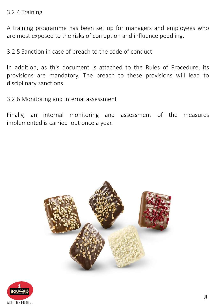#### 3.2.4 Training

A training programme has been set up for managers and employees who are most exposed to the risks of corruption and influence peddling.

3.2.5 Sanction in case of breach to the code of conduct

In addition, as this document is attached to the Rules of Procedure, its provisions are mandatory. The breach to these provisions will lead to disciplinary sanctions.

3.2.6 Monitoring and internal assessment

Finally, an internal monitoring and assessment of the measures implemented is carried out once a year.



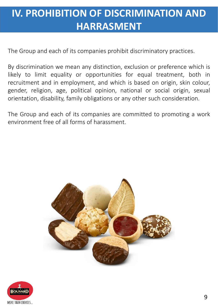## **IV. PROHIBITION OF DISCRIMINATION AND HARRASMENT**

The Group and each of its companies prohibit discriminatory practices.

By discrimination we mean any distinction, exclusion or preference which is likely to limit equality or opportunities for equal treatment, both in recruitment and in employment, and which is based on origin, skin colour, gender, religion, age, political opinion, national or social origin, sexual orientation, disability, family obligations or any other such consideration.

The Group and each of its companies are committed to promoting a work environment free of all forms of harassment.



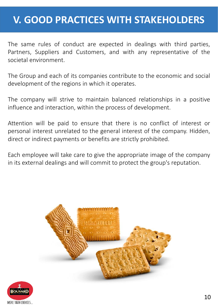### **V. GOOD PRACTICES WITH STAKEHOLDERS**

The same rules of conduct are expected in dealings with third parties, Partners, Suppliers and Customers, and with any representative of the societal environment.

The Group and each of its companies contribute to the economic and social development of the regions in which it operates.

The company will strive to maintain balanced relationships in a positive influence and interaction, within the process of development.

Attention will be paid to ensure that there is no conflict of interest or personal interest unrelated to the general interest of the company. Hidden, direct or indirect payments or benefits are strictly prohibited.

Each employee will take care to give the appropriate image of the company in its external dealings and will commit to protect the group's reputation.



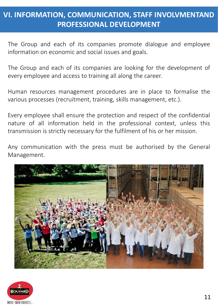#### **VI. INFORMATION, COMMUNICATION, STAFF INVOLVMENTAND PROFESSIONAL DEVELOPMENT**

The Group and each of its companies promote dialogue and employee information on economic and social issues and goals.

The Group and each of its companies are looking for the development of every employee and access to training all along the career.

Human resources management procedures are in place to formalise the various processes (recruitment, training, skills management, etc.).

Every employee shall ensure the protection and respect of the confidential nature of all information held in the professional context, unless this transmission is strictly necessary for the fulfilment of his or her mission.

Any communication with the press must be authorised by the General Management.



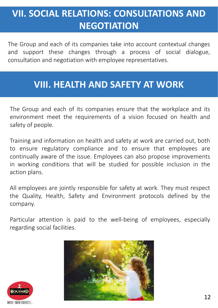## **VII. SOCIAL RELATIONS: CONSULTATIONS AND NEGOTIATION**

The Group and each of its companies take into account contextual changes and support these changes through a process of social dialogue, consultation and negotiation with employee representatives.

#### **VIII. HEALTH AND SAFETY AT WORK**

The Group and each of its companies ensure that the workplace and its environment meet the requirements of a vision focused on health and safety of people.

Training and information on health and safety at work are carried out, both to ensure regulatory compliance and to ensure that employees are continually aware of the issue. Employees can also propose improvements in working conditions that will be studied for possible inclusion in the action plans.

All employees are jointly responsible for safety at work. They must respect the Quality, Health, Safety and Environment protocols defined by the company.

Particular attention is paid to the well-being of employees, especially regarding social facilities.



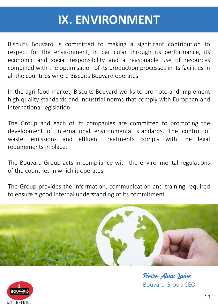## **IX. ENVIRONMENT**

Biscuits Bouvard is committed to making a significant contribution to respect for the environment, in particular through its performance, its economic and social responsibility and a reasonable use of resources combined with the optimisation of its production processes in its facilities in all the countries where Biscuits Bouvard operates.

In the agri-food market, Biscuits Bouvard works to promote and implement high quality standards and industrial norms that comply with European and international legislation.

The Group and each of its companies are committed to promoting the development of international environmental standards. The control of waste, emissions and effluent treatments comply with the legal requirements in place.

The Bouvard Group acts in compliance with the environmental regulations of the countries in which it operates.

The Group provides the information, communication and training required to ensure a good internal understanding of its commitment.



Pierre-Alain Lainé Bouvard Group CEO